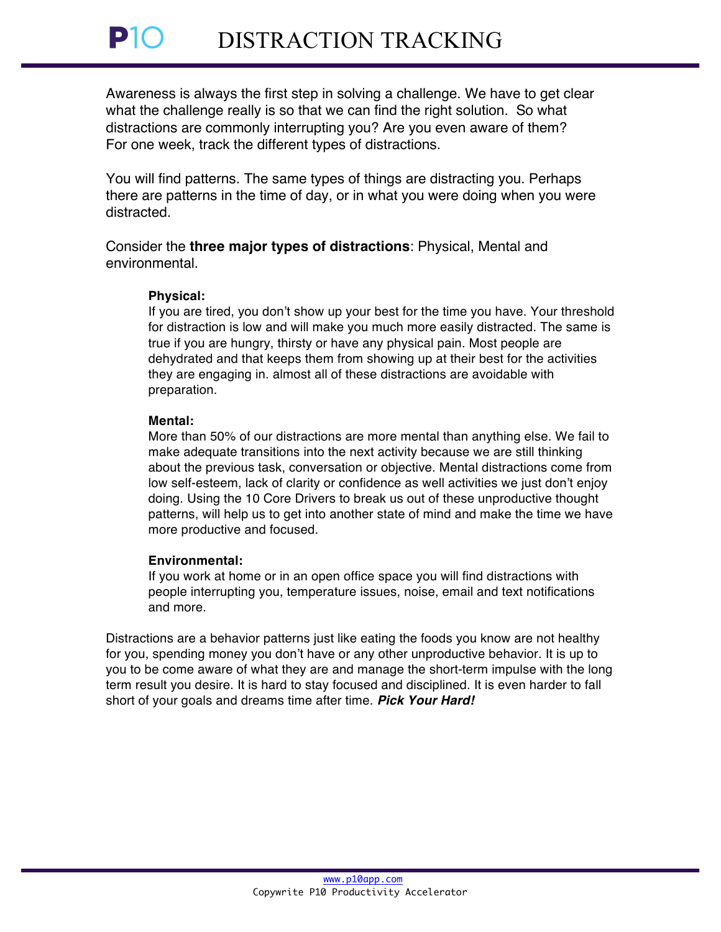Awareness is always the first step in solving a challenge. We have to get clear what the challenge really is so that we can find the right solution. So what distractions are commonly interrupting you? Are you even aware of them? For one week, track the different types of distractions.

You will find patterns. The same types of things are distracting you. Perhaps there are patterns in the time of day, or in what you were doing when you were distracted.

Consider the **three major types of distractions**: Physical, Mental and environmental.

## **Physical:**

If you are tired, you don't show up your best for the time you have. Your threshold for distraction is low and will make you much more easily distracted. The same is true if you are hungry, thirsty or have any physical pain. Most people are dehydrated and that keeps them from showing up at their best for the activities they are engaging in. almost all of these distractions are avoidable with preparation.

## **Mental:**

More than 50% of our distractions are more mental than anything else. We fail to make adequate transitions into the next activity because we are still thinking about the previous task, conversation or objective. Mental distractions come from low self-esteem, lack of clarity or confidence as well activities we just don't enjoy doing. Using the 10 Core Drivers to break us out of these unproductive thought patterns, will help us to get into another state of mind and make the time we have more productive and focused.

## **Environmental:**

If you work at home or in an open office space you will find distractions with people interrupting you, temperature issues, noise, email and text notifications and more.

Distractions are a behavior patterns just like eating the foods you know are not healthy for you, spending money you don't have or any other unproductive behavior. It is up to you to be come aware of what they are and manage the short-term impulse with the long term result you desire. It is hard to stay focused and disciplined. It is even harder to fall short of your goals and dreams time after time. *Pick Your Hard!*